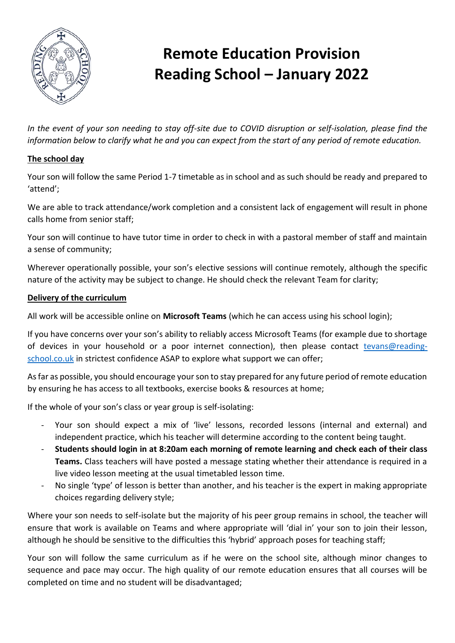

# **Remote Education Provision Reading School – January 2022**

*In the event of your son needing to stay off-site due to COVID disruption or self-isolation, please find the information below to clarify what he and you can expect from the start of any period of remote education.*

## **The school day**

Your son will follow the same Period 1-7 timetable as in school and as such should be ready and prepared to 'attend';

We are able to track attendance/work completion and a consistent lack of engagement will result in phone calls home from senior staff;

Your son will continue to have tutor time in order to check in with a pastoral member of staff and maintain a sense of community;

Wherever operationally possible, your son's elective sessions will continue remotely, although the specific nature of the activity may be subject to change. He should check the relevant Team for clarity;

## **Delivery of the curriculum**

All work will be accessible online on **Microsoft Teams** (which he can access using his school login);

If you have concerns over your son's ability to reliably access Microsoft Teams (for example due to shortage of devices in your household or a poor internet connection), then please contact [tevans@reading](mailto:tevans@reading-school.co.uk)[school.co.uk](mailto:tevans@reading-school.co.uk) in strictest confidence ASAP to explore what support we can offer;

As far as possible, you should encourage your son to stay prepared for any future period of remote education by ensuring he has access to all textbooks, exercise books & resources at home;

If the whole of your son's class or year group is self-isolating:

- Your son should expect a mix of 'live' lessons, recorded lessons (internal and external) and independent practice, which his teacher will determine according to the content being taught.
- **Students should login in at 8:20am each morning of remote learning and check each of their class Teams.** Class teachers will have posted a message stating whether their attendance is required in a live video lesson meeting at the usual timetabled lesson time.
- No single 'type' of lesson is better than another, and his teacher is the expert in making appropriate choices regarding delivery style;

Where your son needs to self-isolate but the majority of his peer group remains in school, the teacher will ensure that work is available on Teams and where appropriate will 'dial in' your son to join their lesson, although he should be sensitive to the difficulties this 'hybrid' approach poses for teaching staff;

Your son will follow the same curriculum as if he were on the school site, although minor changes to sequence and pace may occur. The high quality of our remote education ensures that all courses will be completed on time and no student will be disadvantaged;